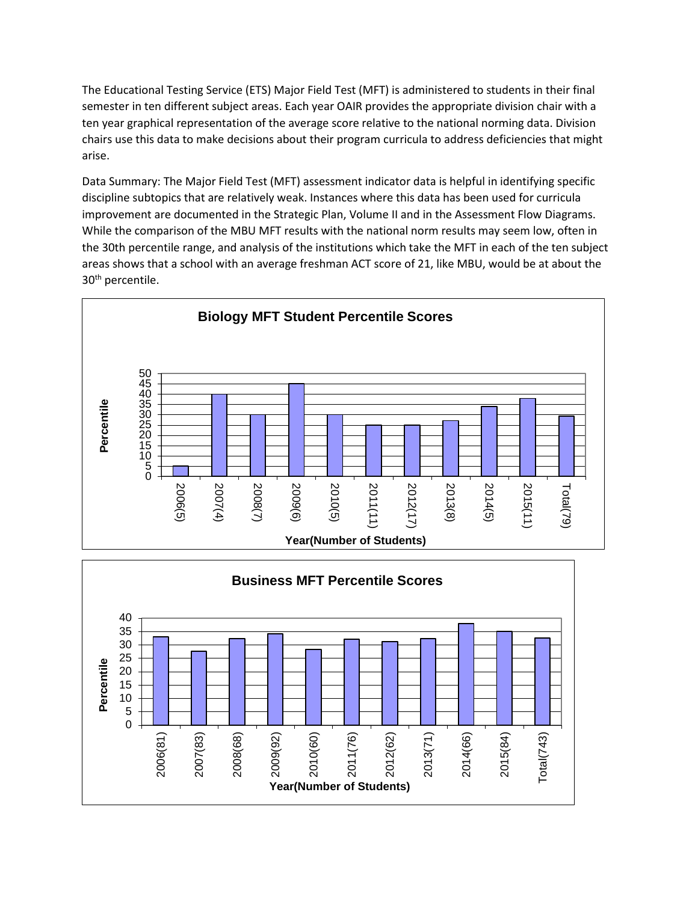The Educational Testing Service (ETS) Major Field Test (MFT) is administered to students in their final semester in ten different subject areas. Each year OAIR provides the appropriate division chair with a ten year graphical representation of the average score relative to the national norming data. Division chairs use this data to make decisions about their program curricula to address deficiencies that might arise.

Data Summary: The Major Field Test (MFT) assessment indicator data is helpful in identifying specific discipline subtopics that are relatively weak. Instances where this data has been used for curricula improvement are documented in the Strategic Plan, Volume II and in the Assessment Flow Diagrams. While the comparison of the MBU MFT results with the national norm results may seem low, often in the 30th percentile range, and analysis of the institutions which take the MFT in each of the ten subject areas shows that a school with an average freshman ACT score of 21, like MBU, would be at about the 30th percentile.



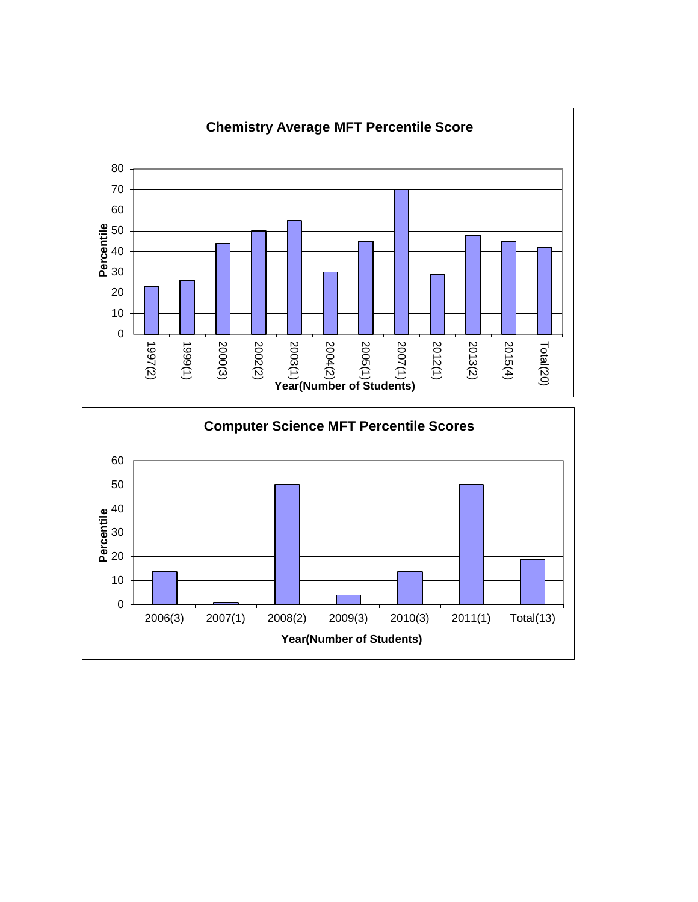

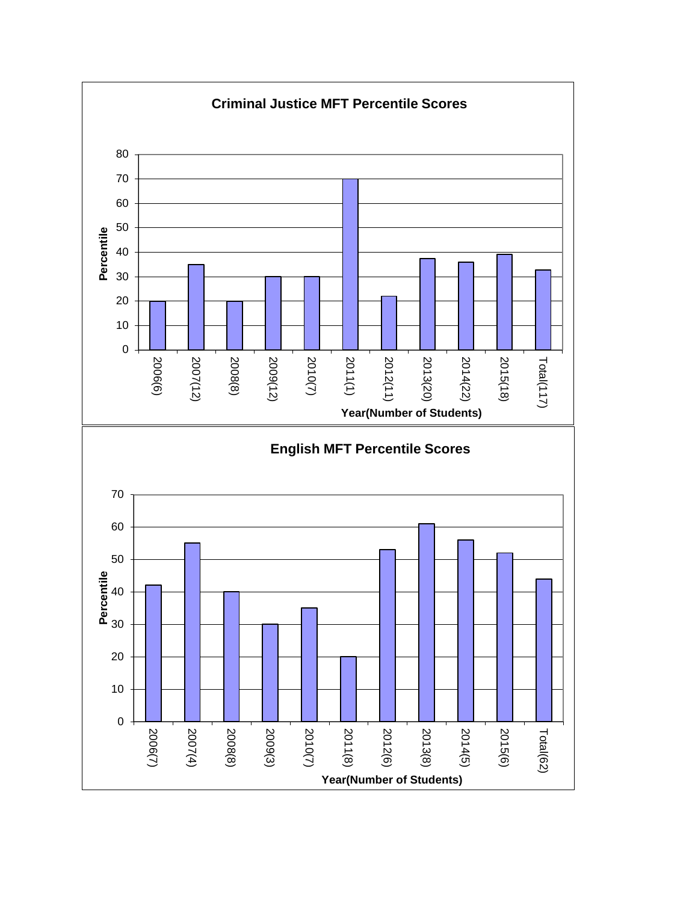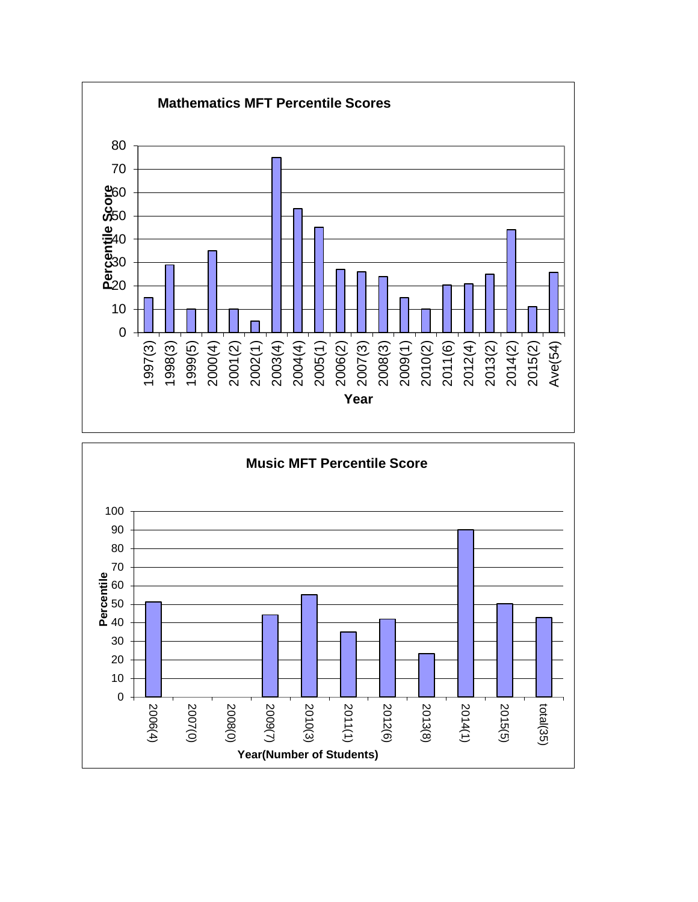